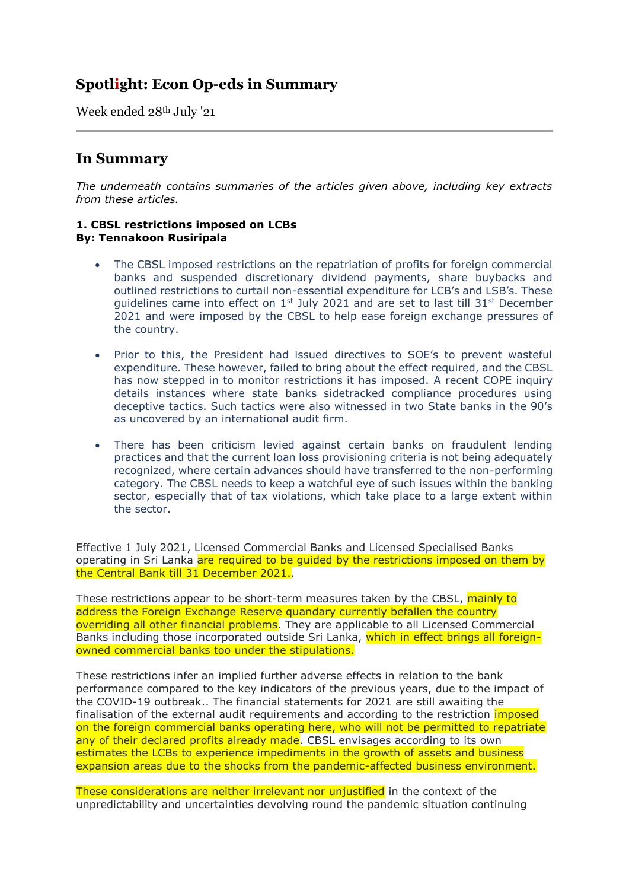# **Spotlight: Econ Op-eds in Summary**

Week ended 28th July '21

## **In Summary**

*The underneath contains summaries of the articles given above, including key extracts from these articles.*

## **1. CBSL restrictions imposed on LCBs By: Tennakoon Rusiripala**

- The CBSL imposed restrictions on the repatriation of profits for foreign commercial banks and suspended discretionary dividend payments, share buybacks and outlined restrictions to curtail non-essential expenditure for LCB's and LSB's. These guidelines came into effect on  $1^{st}$  July 2021 and are set to last till 31 $^{st}$  December 2021 and were imposed by the CBSL to help ease foreign exchange pressures of the country.
- Prior to this, the President had issued directives to SOE's to prevent wasteful expenditure. These however, failed to bring about the effect required, and the CBSL has now stepped in to monitor restrictions it has imposed. A recent COPE inquiry details instances where state banks sidetracked compliance procedures using deceptive tactics. Such tactics were also witnessed in two State banks in the 90's as uncovered by an international audit firm.
- There has been criticism levied against certain banks on fraudulent lending practices and that the current loan loss provisioning criteria is not being adequately recognized, where certain advances should have transferred to the non-performing category. The CBSL needs to keep a watchful eye of such issues within the banking sector, especially that of tax violations, which take place to a large extent within the sector.

Effective 1 July 2021, Licensed Commercial Banks and Licensed Specialised Banks operating in Sri Lanka are required to be quided by the restrictions imposed on them by the Central Bank till 31 December 2021..

These restrictions appear to be short-term measures taken by the CBSL, mainly to address the Foreign Exchange Reserve quandary currently befallen the country overriding all other financial problems. They are applicable to all Licensed Commercial Banks including those incorporated outside Sri Lanka, which in effect brings all foreignowned commercial banks too under the stipulations.

These restrictions infer an implied further adverse effects in relation to the bank performance compared to the key indicators of the previous years, due to the impact of the COVID-19 outbreak.. The financial statements for 2021 are still awaiting the finalisation of the external audit requirements and according to the restriction *imposed* on the foreign commercial banks operating here, who will not be permitted to repatriate any of their declared profits already made. CBSL envisages according to its own estimates the LCBs to experience impediments in the growth of assets and business expansion areas due to the shocks from the pandemic-affected business environment.

These considerations are neither irrelevant nor unjustified in the context of the unpredictability and uncertainties devolving round the pandemic situation continuing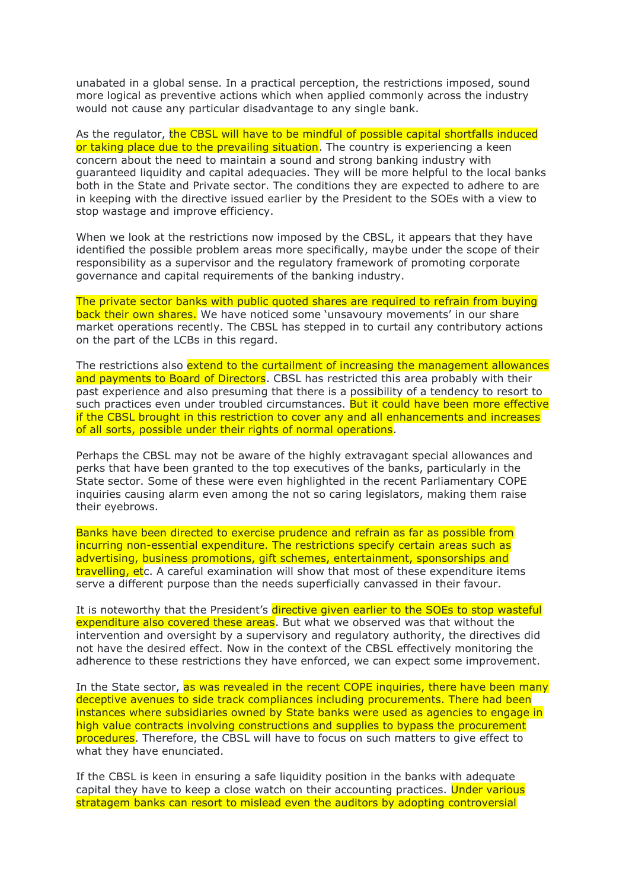unabated in a global sense. In a practical perception, the restrictions imposed, sound more logical as preventive actions which when applied commonly across the industry would not cause any particular disadvantage to any single bank.

As the regulator, the CBSL will have to be mindful of possible capital shortfalls induced or taking place due to the prevailing situation. The country is experiencing a keen concern about the need to maintain a sound and strong banking industry with guaranteed liquidity and capital adequacies. They will be more helpful to the local banks both in the State and Private sector. The conditions they are expected to adhere to are in keeping with the directive issued earlier by the President to the SOEs with a view to stop wastage and improve efficiency.

When we look at the restrictions now imposed by the CBSL, it appears that they have identified the possible problem areas more specifically, maybe under the scope of their responsibility as a supervisor and the regulatory framework of promoting corporate governance and capital requirements of the banking industry.

The private sector banks with public quoted shares are required to refrain from buying back their own shares. We have noticed some 'unsavoury movements' in our share market operations recently. The CBSL has stepped in to curtail any contributory actions on the part of the LCBs in this regard.

The restrictions also extend to the curtailment of increasing the management allowances and payments to Board of Directors. CBSL has restricted this area probably with their past experience and also presuming that there is a possibility of a tendency to resort to such practices even under troubled circumstances. But it could have been more effective if the CBSL brought in this restriction to cover any and all enhancements and increases of all sorts, possible under their rights of normal operations.

Perhaps the CBSL may not be aware of the highly extravagant special allowances and perks that have been granted to the top executives of the banks, particularly in the State sector. Some of these were even highlighted in the recent Parliamentary COPE inquiries causing alarm even among the not so caring legislators, making them raise their eyebrows.

Banks have been directed to exercise prudence and refrain as far as possible from incurring non-essential expenditure. The restrictions specify certain areas such as advertising, business promotions, gift schemes, entertainment, sponsorships and travelling, etc. A careful examination will show that most of these expenditure items serve a different purpose than the needs superficially canvassed in their favour.

It is noteworthy that the President's directive given earlier to the SOEs to stop wasteful expenditure also covered these areas. But what we observed was that without the intervention and oversight by a supervisory and regulatory authority, the directives did not have the desired effect. Now in the context of the CBSL effectively monitoring the adherence to these restrictions they have enforced, we can expect some improvement.

In the State sector, as was revealed in the recent COPE inquiries, there have been many deceptive avenues to side track compliances including procurements. There had been instances where subsidiaries owned by State banks were used as agencies to engage in high value contracts involving constructions and supplies to bypass the procurement procedures. Therefore, the CBSL will have to focus on such matters to give effect to what they have enunciated.

If the CBSL is keen in ensuring a safe liquidity position in the banks with adequate capital they have to keep a close watch on their accounting practices. Under various stratagem banks can resort to mislead even the auditors by adopting controversial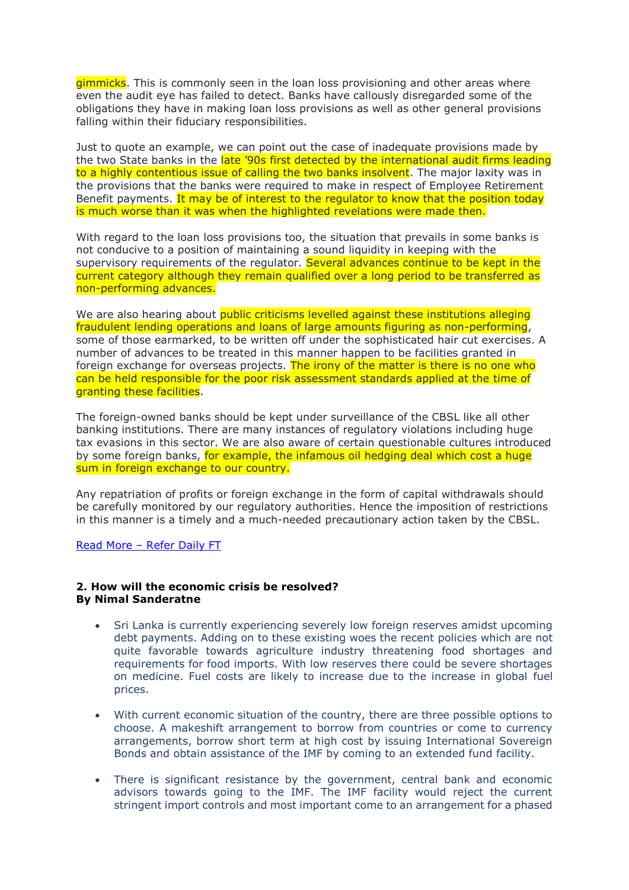gimmicks. This is commonly seen in the loan loss provisioning and other areas where even the audit eye has failed to detect. Banks have callously disregarded some of the obligations they have in making loan loss provisions as well as other general provisions falling within their fiduciary responsibilities.

Just to quote an example, we can point out the case of inadequate provisions made by the two State banks in the late '90s first detected by the international audit firms leading to a highly contentious issue of calling the two banks insolvent. The major laxity was in the provisions that the banks were required to make in respect of Employee Retirement Benefit payments. It may be of interest to the regulator to know that the position today is much worse than it was when the highlighted revelations were made then.

With regard to the loan loss provisions too, the situation that prevails in some banks is not conducive to a position of maintaining a sound liquidity in keeping with the supervisory requirements of the requiator. Several advances continue to be kept in the current category although they remain qualified over a long period to be transferred as non-performing advances.

We are also hearing about public criticisms levelled against these institutions alleging fraudulent lending operations and loans of large amounts figuring as non-performing, some of those earmarked, to be written off under the sophisticated hair cut exercises. A number of advances to be treated in this manner happen to be facilities granted in foreign exchange for overseas projects. The irony of the matter is there is no one who can be held responsible for the poor risk assessment standards applied at the time of granting these facilities.

The foreign-owned banks should be kept under surveillance of the CBSL like all other banking institutions. There are many instances of regulatory violations including huge tax evasions in this sector. We are also aware of certain questionable cultures introduced by some foreign banks, for example, the infamous oil hedging deal which cost a huge sum in foreign exchange to our country.

Any repatriation of profits or foreign exchange in the form of capital withdrawals should be carefully monitored by our regulatory authorities. Hence the imposition of restrictions in this manner is a timely and a much-needed precautionary action taken by the CBSL.

Read More – [Refer Daily FT](https://www.ft.lk/columns/CBSL-restrictions-imposed-on-LCBs/4-720874)

## **2. How will the economic crisis be resolved? By Nimal Sanderatne**

- Sri Lanka is currently experiencing severely low foreign reserves amidst upcoming debt payments. Adding on to these existing woes the recent policies which are not quite favorable towards agriculture industry threatening food shortages and requirements for food imports. With low reserves there could be severe shortages on medicine. Fuel costs are likely to increase due to the increase in global fuel prices.
- With current economic situation of the country, there are three possible options to choose. A makeshift arrangement to borrow from countries or come to currency arrangements, borrow short term at high cost by issuing International Sovereign Bonds and obtain assistance of the IMF by coming to an extended fund facility.
- There is significant resistance by the government, central bank and economic advisors towards going to the IMF. The IMF facility would reject the current stringent import controls and most important come to an arrangement for a phased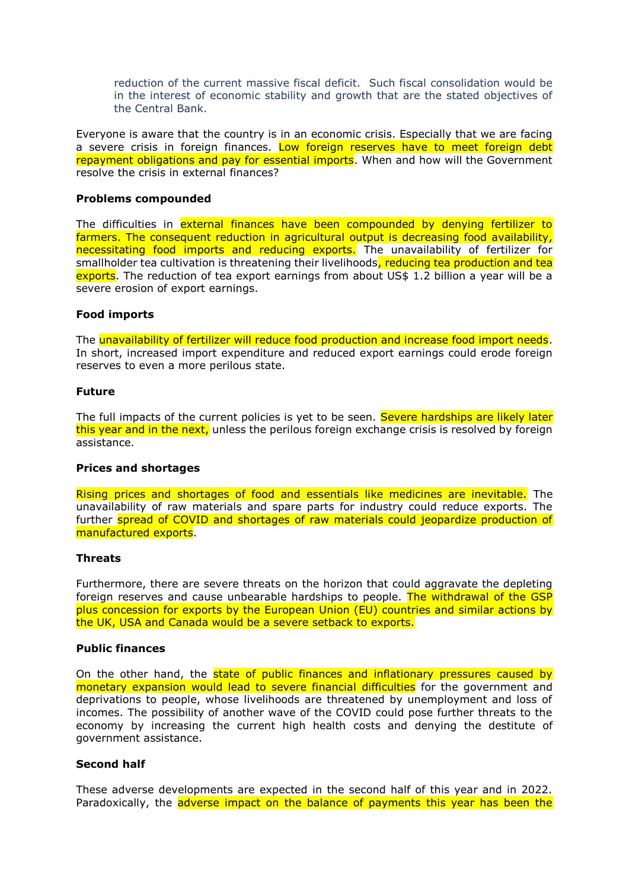reduction of the current massive fiscal deficit. Such fiscal consolidation would be in the interest of economic stability and growth that are the stated objectives of the Central Bank.

Everyone is aware that the country is in an economic crisis. Especially that we are facing a severe crisis in foreign finances. Low foreign reserves have to meet foreign debt repayment obligations and pay for essential imports. When and how will the Government resolve the crisis in external finances?

## **Problems compounded**

The difficulties in external finances have been compounded by denying fertilizer to farmers. The consequent reduction in agricultural output is decreasing food availability, necessitating food imports and reducing exports. The unavailability of fertilizer for smallholder tea cultivation is threatening their livelihoods, reducing tea production and tea exports. The reduction of tea export earnings from about US\$ 1.2 billion a year will be a severe erosion of export earnings.

## **Food imports**

The **unavailability of fertilizer will reduce food production and increase food import needs.** In short, increased import expenditure and reduced export earnings could erode foreign reserves to even a more perilous state.

#### **Future**

The full impacts of the current policies is yet to be seen. Severe hardships are likely later this year and in the next, unless the perilous foreign exchange crisis is resolved by foreign assistance.

#### **Prices and shortages**

Rising prices and shortages of food and essentials like medicines are inevitable. The unavailability of raw materials and spare parts for industry could reduce exports. The further spread of COVID and shortages of raw materials could jeopardize production of manufactured exports.

#### **Threats**

Furthermore, there are severe threats on the horizon that could aggravate the depleting foreign reserves and cause unbearable hardships to people. The withdrawal of the GSP plus concession for exports by the European Union (EU) countries and similar actions by the UK, USA and Canada would be a severe setback to exports.

## **Public finances**

On the other hand, the state of public finances and inflationary pressures caused by monetary expansion would lead to severe financial difficulties for the government and deprivations to people, whose livelihoods are threatened by unemployment and loss of incomes. The possibility of another wave of the COVID could pose further threats to the economy by increasing the current high health costs and denying the destitute of government assistance.

## **Second half**

These adverse developments are expected in the second half of this year and in 2022. Paradoxically, the adverse impact on the balance of payments this year has been the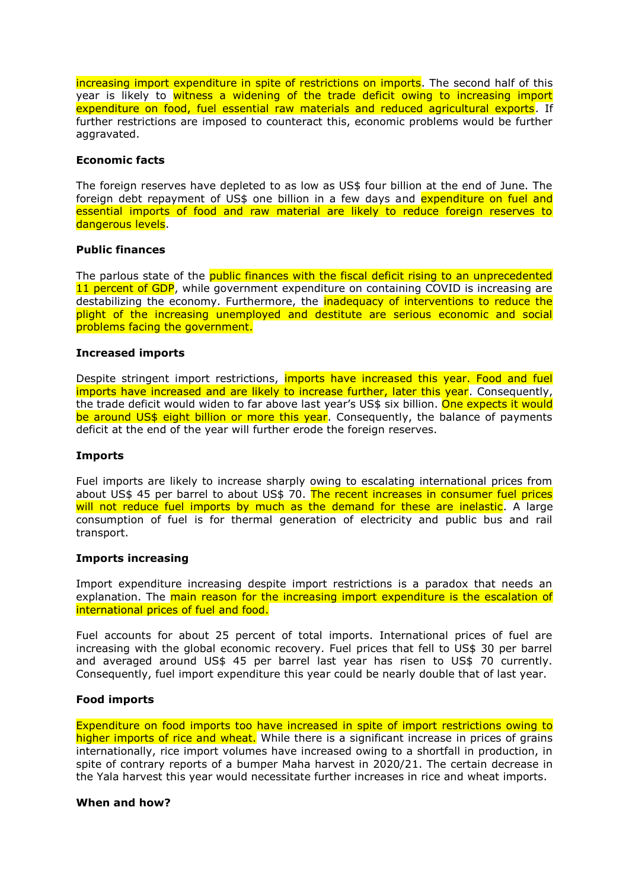increasing import expenditure in spite of restrictions on imports. The second half of this year is likely to witness a widening of the trade deficit owing to increasing import expenditure on food, fuel essential raw materials and reduced agricultural exports. If further restrictions are imposed to counteract this, economic problems would be further aggravated.

## **Economic facts**

The foreign reserves have depleted to as low as US\$ four billion at the end of June. The foreign debt repayment of US\$ one billion in a few days and expenditure on fuel and essential imports of food and raw material are likely to reduce foreign reserves to dangerous levels.

## **Public finances**

The parlous state of the public finances with the fiscal deficit rising to an unprecedented 11 percent of GDP, while government expenditure on containing COVID is increasing are destabilizing the economy. Furthermore, the **inadequacy of interventions to reduce the** plight of the increasing unemployed and destitute are serious economic and social problems facing the government.

## **Increased imports**

Despite stringent import restrictions, *imports have increased this year. Food and fuel* imports have increased and are likely to increase further, later this year. Consequently, the trade deficit would widen to far above last year's US\$ six billion. One expects it would be around US\$ eight billion or more this year. Consequently, the balance of payments deficit at the end of the year will further erode the foreign reserves.

#### **Imports**

Fuel imports are likely to increase sharply owing to escalating international prices from about US\$ 45 per barrel to about US\$ 70. The recent increases in consumer fuel prices will not reduce fuel imports by much as the demand for these are inelastic. A large consumption of fuel is for thermal generation of electricity and public bus and rail transport.

#### **Imports increasing**

Import expenditure increasing despite import restrictions is a paradox that needs an explanation. The main reason for the increasing import expenditure is the escalation of international prices of fuel and food.

Fuel accounts for about 25 percent of total imports. International prices of fuel are increasing with the global economic recovery. Fuel prices that fell to US\$ 30 per barrel and averaged around US\$ 45 per barrel last year has risen to US\$ 70 currently. Consequently, fuel import expenditure this year could be nearly double that of last year.

#### **Food imports**

Expenditure on food imports too have increased in spite of import restrictions owing to higher imports of rice and wheat. While there is a significant increase in prices of grains internationally, rice import volumes have increased owing to a shortfall in production, in spite of contrary reports of a bumper Maha harvest in 2020/21. The certain decrease in the Yala harvest this year would necessitate further increases in rice and wheat imports.

#### **When and how?**